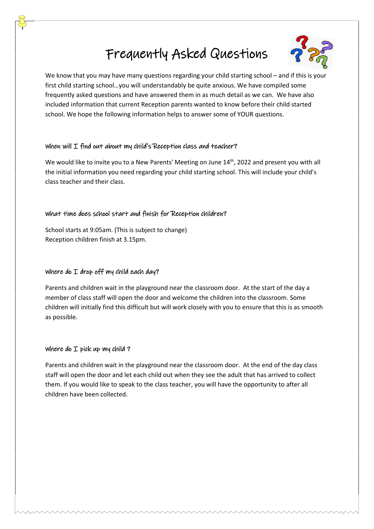# Frequently Asked Questions



We know that you may have many questions regarding your child starting school – and if this is your first child starting school…you will understandably be quite anxious. We have compiled some frequently asked questions and have answered them in as much detail as we can. We have also included information that current Reception parents wanted to know before their child started school. We hope the following information helps to answer some of YOUR questions.

## When will I find out about my child's Reception class and teacher?

We would like to invite you to a New Parents' Meeting on June 14<sup>th</sup>, 2022 and present you with all the initial information you need regarding your child starting school. This will include your child's class teacher and their class.

## What time does school start and finish for Reception children?

School starts at 9:05am. (This is subject to change) Reception children finish at 3.15pm.

# Where do  $I$  drop off my child each day?

Parents and children wait in the playground near the classroom door. At the start of the day a member of class staff will open the door and welcome the children into the classroom. Some children will initially find this difficult but will work closely with you to ensure that this is as smooth as possible.

## Where do  $I$  pick up my child?

Parents and children wait in the playground near the classroom door. At the end of the day class staff will open the door and let each child out when they see the adult that has arrived to collect them. If you would like to speak to the class teacher, you will have the opportunity to after all children have been collected.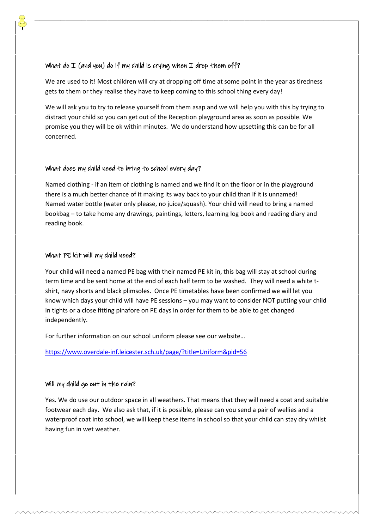## What do  $I$  (and you) do if my child is crying when  $I$  drop them off?

We are used to it! Most children will cry at dropping off time at some point in the year as tiredness gets to them or they realise they have to keep coming to this school thing every day!

We will ask you to try to release yourself from them asap and we will help you with this by trying to distract your child so you can get out of the Reception playground area as soon as possible. We promise you they will be ok within minutes. We do understand how upsetting this can be for all concerned.

## What does my child need to bring to school every day?

Named clothing - if an item of clothing is named and we find it on the floor or in the playground there is a much better chance of it making its way back to your child than if it is unnamed! Named water bottle (water only please, no juice/squash). Your child will need to bring a named bookbag – to take home any drawings, paintings, letters, learning log book and reading diary and reading book.

## What PE kit will my child need?

Your child will need a named PE bag with their named PE kit in, this bag will stay at school during term time and be sent home at the end of each half term to be washed. They will need a white tshirt, navy shorts and black plimsoles. Once PE timetables have been confirmed we will let you know which days your child will have PE sessions – you may want to consider NOT putting your child in tights or a close fitting pinafore on PE days in order for them to be able to get changed independently.

For further information on our school uniform please see our website…

<https://www.overdale-inf.leicester.sch.uk/page/?title=Uniform&pid=56>

## Will my child go out in the rain?

Yes. We do use our outdoor space in all weathers. That means that they will need a coat and suitable footwear each day. We also ask that, if it is possible, please can you send a pair of wellies and a waterproof coat into school, we will keep these items in school so that your child can stay dry whilst having fun in wet weather.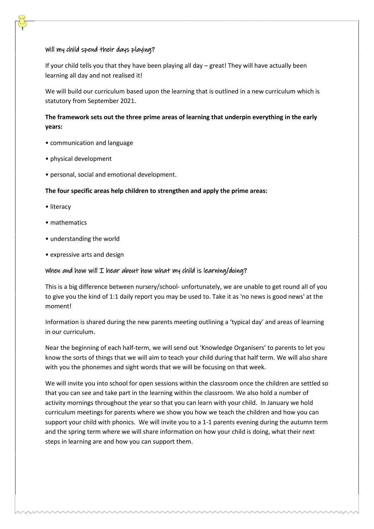#### Will my child spend their days playing?

If your child tells you that they have been playing all day – great! They will have actually been learning all day and not realised it!

We will build our curriculum based upon the learning that is outlined in a new curriculum which is statutory from September 2021.

## **The framework sets out the three prime areas of learning that underpin everything in the early years:**

- communication and language
- physical development
- personal, social and emotional development.

#### **The four specific areas help children to strengthen and apply the prime areas:**

- literacy
- mathematics
- understanding the world
- expressive arts and design

#### When and how will  $I$  hear about how what my child is learning/doing?

This is a big difference between nursery/school- unfortunately, we are unable to get round all of you to give you the kind of 1:1 daily report you may be used to. Take it as 'no news is good news' at the moment!

Information is shared during the new parents meeting outlining a 'typical day' and areas of learning in our curriculum.

Near the beginning of each half-term, we will send out 'Knowledge Organisers' to parents to let you know the sorts of things that we will aim to teach your child during that half term. We will also share with you the phonemes and sight words that we will be focusing on that week.

We will invite you into school for open sessions within the classroom once the children are settled so that you can see and take part in the learning within the classroom. We also hold a number of activity mornings throughout the year so that you can learn with your child. In January we hold curriculum meetings for parents where we show you how we teach the children and how you can support your child with phonics. We will invite you to a 1-1 parents evening during the autumn term and the spring term where we will share information on how your child is doing, what their next steps in learning are and how you can support them.